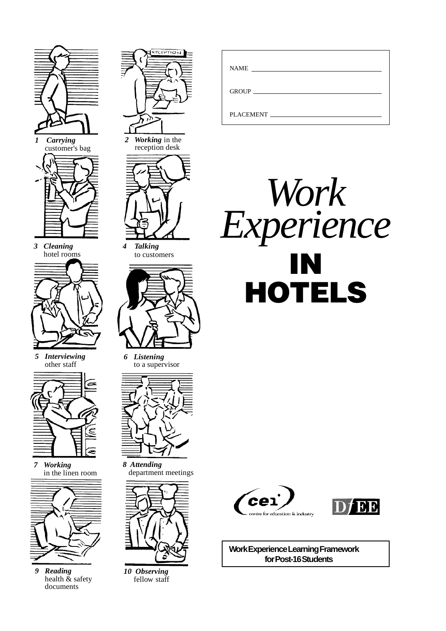

*1 Carrying* customer's bag



*3 Cleaning* hotel rooms

*5 Interviewing* other staff



*7 Working* in the linen room



*9 Reading* health & safety documents



reception desk



*4 Talking* to customers



*6 Listening* to a supervisor



*8 Attending* department meetings



*10 Observing* fellow staff

| <b>NAME</b>      |
|------------------|
| GROUP            |
| <b>PLACEMENT</b> |







**Work Experience Learning Framework for Post-16 Students**